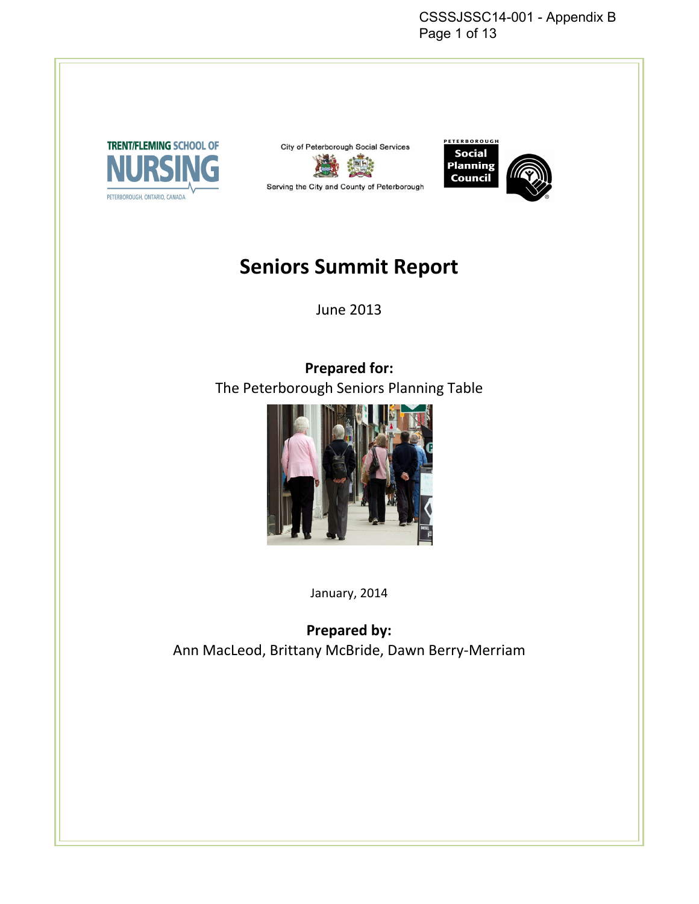CSSSJSSC14-001 - Appendix B Page 1 of 13







# **Seniors Summit Report**

June 2013

**Prepared for:**  The Peterborough Seniors Planning Table



January, 2014

**Prepared by:**  Ann MacLeod, Brittany McBride, Dawn Berry-Merriam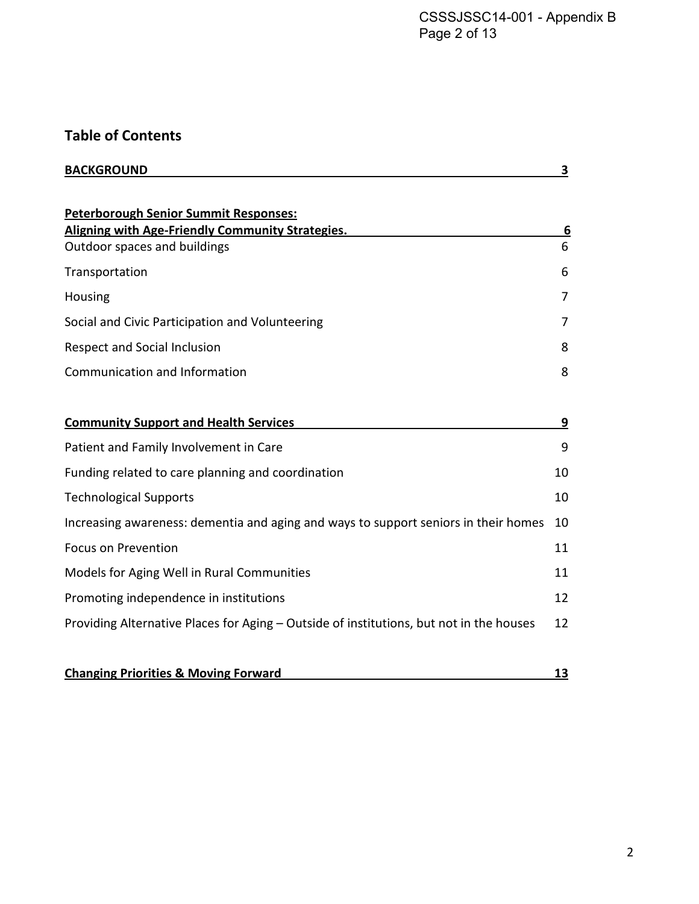# **Table of Contents**

| <b>BACKGROUND</b>                                                                                                                       | 3      |
|-----------------------------------------------------------------------------------------------------------------------------------------|--------|
| <b>Peterborough Senior Summit Responses:</b><br><b>Aligning with Age-Friendly Community Strategies.</b><br>Outdoor spaces and buildings | 6<br>6 |
| Transportation                                                                                                                          | 6      |
| Housing                                                                                                                                 | 7      |
| Social and Civic Participation and Volunteering                                                                                         | 7      |
| Respect and Social Inclusion                                                                                                            | 8      |
| Communication and Information                                                                                                           | 8      |
| <b>Community Support and Health Services</b>                                                                                            | 9      |
| Patient and Family Involvement in Care                                                                                                  | 9      |
| Funding related to care planning and coordination                                                                                       | 10     |
| <b>Technological Supports</b>                                                                                                           | 10     |
| Increasing awareness: dementia and aging and ways to support seniors in their homes                                                     | 10     |
| <b>Focus on Prevention</b>                                                                                                              | 11     |
| Models for Aging Well in Rural Communities                                                                                              | 11     |
| Promoting independence in institutions                                                                                                  | 12     |
| Providing Alternative Places for Aging - Outside of institutions, but not in the houses                                                 | 12     |
|                                                                                                                                         |        |
| <b>Changing Priorities &amp; Moving Forward</b>                                                                                         | 13     |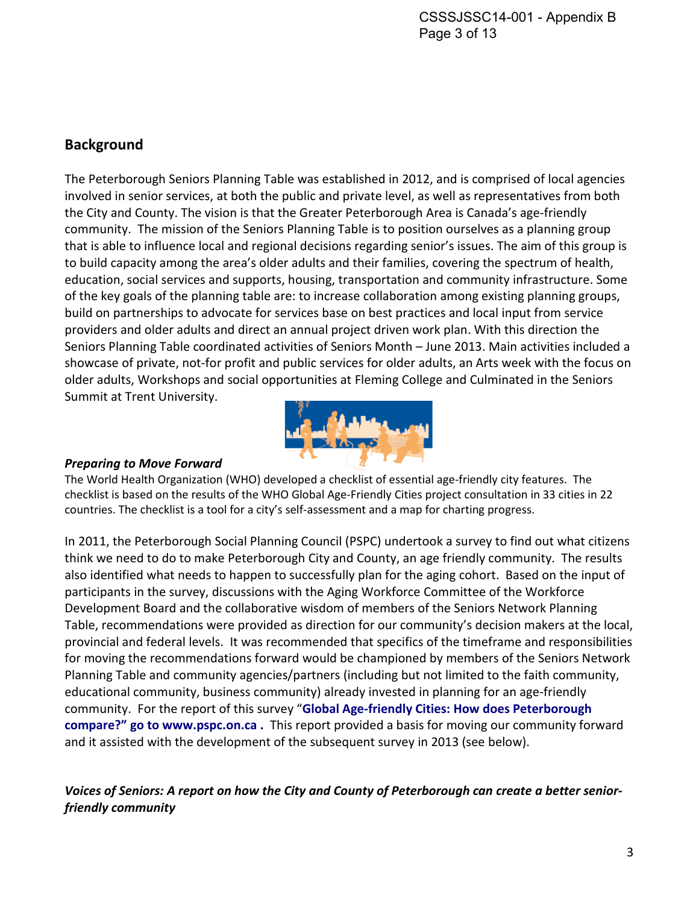### **Background**

The Peterborough Seniors Planning Table was established in 2012, and is comprised of local agencies involved in senior services, at both the public and private level, as well as representatives from both the City and County. The vision is that the Greater Peterborough Area is Canada's age-friendly community. The mission of the Seniors Planning Table is to position ourselves as a planning group that is able to influence local and regional decisions regarding senior's issues. The aim of this group is to build capacity among the area's older adults and their families, covering the spectrum of health, education, social services and supports, housing, transportation and community infrastructure. Some of the key goals of the planning table are: to increase collaboration among existing planning groups, build on partnerships to advocate for services base on best practices and local input from service providers and older adults and direct an annual project driven work plan. With this direction the Seniors Planning Table coordinated activities of Seniors Month – June 2013. Main activities included a showcase of private, not-for profit and public services for older adults, an Arts week with the focus on older adults, Workshops and social opportunities at Fleming College and Culminated in the Seniors Summit at Trent University.



#### *Preparing to Move Forward*

The World Health Organization (WHO) developed a checklist of essential age-friendly city features. The checklist is based on the results of the WHO Global Age-Friendly Cities project consultation in 33 cities in 22 countries. The checklist is a tool for a city's self-assessment and a map for charting progress.

In 2011, the Peterborough Social Planning Council (PSPC) undertook a survey to find out what citizens think we need to do to make Peterborough City and County, an age friendly community. The results also identified what needs to happen to successfully plan for the aging cohort. Based on the input of participants in the survey, discussions with the Aging Workforce Committee of the Workforce Development Board and the collaborative wisdom of members of the Seniors Network Planning Table, recommendations were provided as direction for our community's decision makers at the local, provincial and federal levels. It was recommended that specifics of the timeframe and responsibilities for moving the recommendations forward would be championed by members of the Seniors Network Planning Table and community agencies/partners (including but not limited to the faith community, educational community, business community) already invested in planning for an age-friendly community. For the report of this survey "**Global Age-friendly Cities: How does Peterborough compare?" go to www.pspc.on.ca .** This report provided a basis for moving our community forward and it assisted with the development of the subsequent survey in 2013 (see below).

*Voices of Seniors: A report on how the City and County of Peterborough can create a better seniorfriendly community*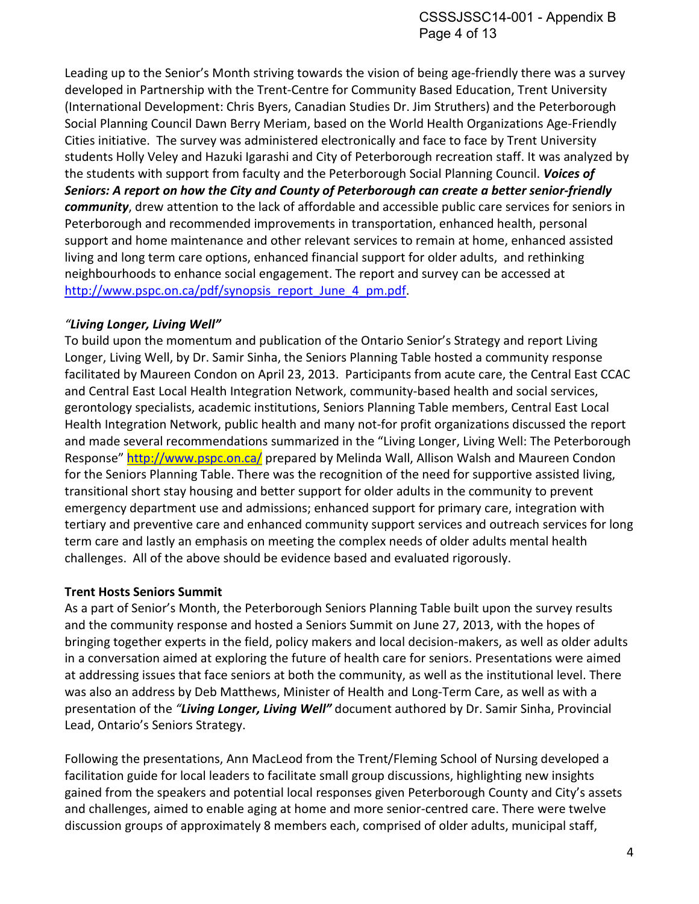Leading up to the Senior's Month striving towards the vision of being age-friendly there was a survey developed in Partnership with the Trent-Centre for Community Based Education, Trent University (International Development: Chris Byers, Canadian Studies Dr. Jim Struthers) and the Peterborough Social Planning Council Dawn Berry Meriam, based on the World Health Organizations Age-Friendly Cities initiative. The survey was administered electronically and face to face by Trent University students Holly Veley and Hazuki Igarashi and City of Peterborough recreation staff. It was analyzed by the students with support from faculty and the Peterborough Social Planning Council. *Voices of Seniors: A report on how the City and County of Peterborough can create a better senior-friendly community*, drew attention to the lack of affordable and accessible public care services for seniors in Peterborough and recommended improvements in transportation, enhanced health, personal support and home maintenance and other relevant services to remain at home, enhanced assisted living and long term care options, enhanced financial support for older adults, and rethinking neighbourhoods to enhance social engagement. The report and survey can be accessed at http://www.pspc.on.ca/pdf/synopsis\_report\_June\_4\_pm.pdf.

#### *"Living Longer, Living Well"*

To build upon the momentum and publication of the Ontario Senior's Strategy and report Living Longer, Living Well, by Dr. Samir Sinha, the Seniors Planning Table hosted a community response facilitated by Maureen Condon on April 23, 2013. Participants from acute care, the Central East CCAC and Central East Local Health Integration Network, community-based health and social services, gerontology specialists, academic institutions, Seniors Planning Table members, Central East Local Health Integration Network, public health and many not-for profit organizations discussed the report and made several recommendations summarized in the "Living Longer, Living Well: The Peterborough Response" http://www.pspc.on.ca/ prepared by Melinda Wall, Allison Walsh and Maureen Condon for the Seniors Planning Table. There was the recognition of the need for supportive assisted living, transitional short stay housing and better support for older adults in the community to prevent emergency department use and admissions; enhanced support for primary care, integration with tertiary and preventive care and enhanced community support services and outreach services for long term care and lastly an emphasis on meeting the complex needs of older adults mental health challenges. All of the above should be evidence based and evaluated rigorously.

#### **Trent Hosts Seniors Summit**

As a part of Senior's Month, the Peterborough Seniors Planning Table built upon the survey results and the community response and hosted a Seniors Summit on June 27, 2013, with the hopes of bringing together experts in the field, policy makers and local decision-makers, as well as older adults in a conversation aimed at exploring the future of health care for seniors. Presentations were aimed at addressing issues that face seniors at both the community, as well as the institutional level. There was also an address by Deb Matthews, Minister of Health and Long-Term Care, as well as with a presentation of the *"Living Longer, Living Well"* document authored by Dr. Samir Sinha, Provincial Lead, Ontario's Seniors Strategy.

Following the presentations, Ann MacLeod from the Trent/Fleming School of Nursing developed a facilitation guide for local leaders to facilitate small group discussions, highlighting new insights gained from the speakers and potential local responses given Peterborough County and City's assets and challenges, aimed to enable aging at home and more senior-centred care. There were twelve discussion groups of approximately 8 members each, comprised of older adults, municipal staff,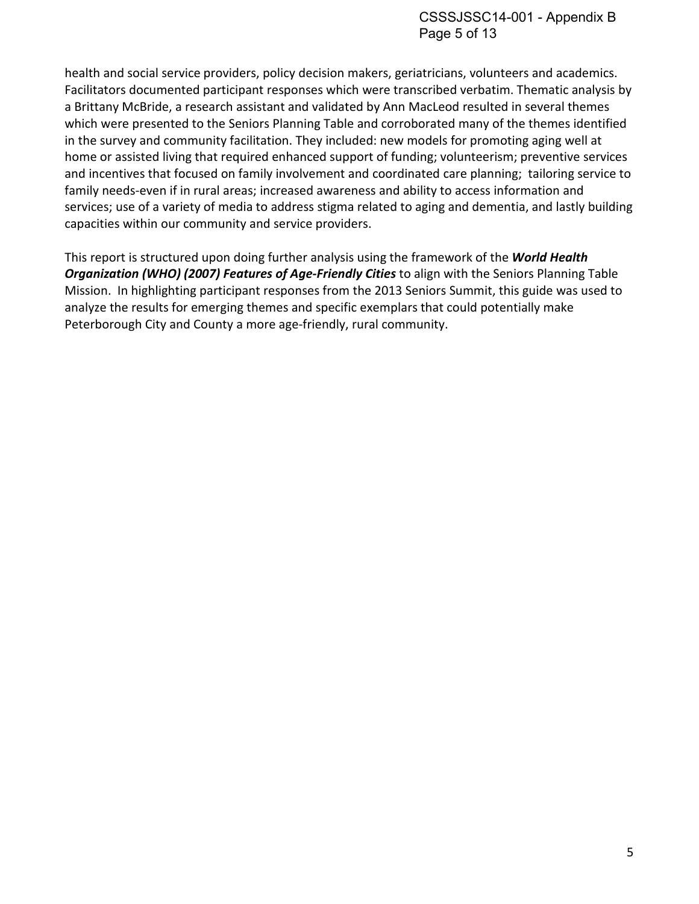health and social service providers, policy decision makers, geriatricians, volunteers and academics. Facilitators documented participant responses which were transcribed verbatim. Thematic analysis by a Brittany McBride, a research assistant and validated by Ann MacLeod resulted in several themes which were presented to the Seniors Planning Table and corroborated many of the themes identified in the survey and community facilitation. They included: new models for promoting aging well at home or assisted living that required enhanced support of funding; volunteerism; preventive services and incentives that focused on family involvement and coordinated care planning; tailoring service to family needs-even if in rural areas; increased awareness and ability to access information and services; use of a variety of media to address stigma related to aging and dementia, and lastly building capacities within our community and service providers.

This report is structured upon doing further analysis using the framework of the *World Health Organization (WHO) (2007) Features of Age-Friendly Cities* to align with the Seniors Planning Table Mission. In highlighting participant responses from the 2013 Seniors Summit, this guide was used to analyze the results for emerging themes and specific exemplars that could potentially make Peterborough City and County a more age-friendly, rural community.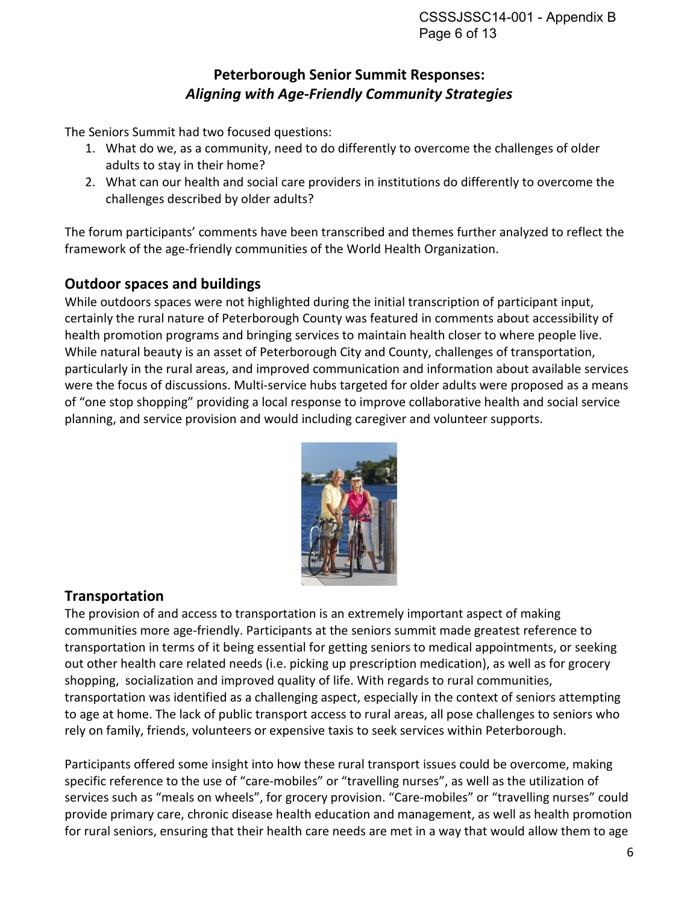# **Peterborough Senior Summit Responses:**  *Aligning with Age-Friendly Community Strategies*

The Seniors Summit had two focused questions:

- 1. What do we, as a community, need to do differently to overcome the challenges of older adults to stay in their home?
- 2. What can our health and social care providers in institutions do differently to overcome the challenges described by older adults?

The forum participants' comments have been transcribed and themes further analyzed to reflect the framework of the age-friendly communities of the World Health Organization.

### **Outdoor spaces and buildings**

While outdoors spaces were not highlighted during the initial transcription of participant input, certainly the rural nature of Peterborough County was featured in comments about accessibility of health promotion programs and bringing services to maintain health closer to where people live. While natural beauty is an asset of Peterborough City and County, challenges of transportation, particularly in the rural areas, and improved communication and information about available services were the focus of discussions. Multi-service hubs targeted for older adults were proposed as a means of "one stop shopping" providing a local response to improve collaborative health and social service planning, and service provision and would including caregiver and volunteer supports.



# **Transportation**

The provision of and access to transportation is an extremely important aspect of making communities more age-friendly. Participants at the seniors summit made greatest reference to transportation in terms of it being essential for getting seniors to medical appointments, or seeking out other health care related needs (i.e. picking up prescription medication), as well as for grocery shopping, socialization and improved quality of life. With regards to rural communities, transportation was identified as a challenging aspect, especially in the context of seniors attempting to age at home. The lack of public transport access to rural areas, all pose challenges to seniors who rely on family, friends, volunteers or expensive taxis to seek services within Peterborough.

Participants offered some insight into how these rural transport issues could be overcome, making specific reference to the use of "care-mobiles" or "travelling nurses", as well as the utilization of services such as "meals on wheels", for grocery provision. "Care-mobiles" or "travelling nurses" could provide primary care, chronic disease health education and management, as well as health promotion for rural seniors, ensuring that their health care needs are met in a way that would allow them to age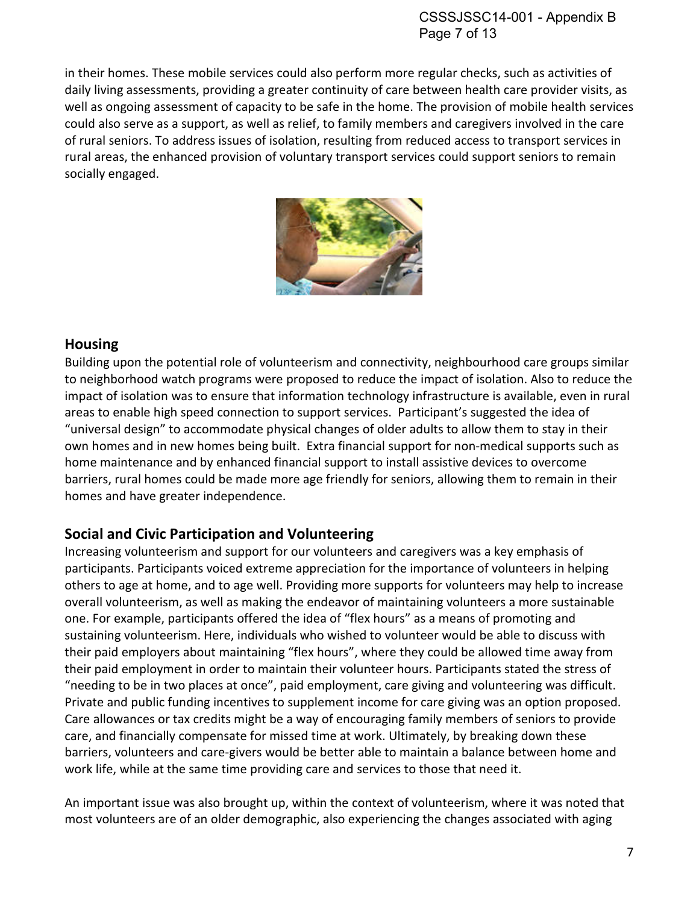in their homes. These mobile services could also perform more regular checks, such as activities of daily living assessments, providing a greater continuity of care between health care provider visits, as well as ongoing assessment of capacity to be safe in the home. The provision of mobile health services could also serve as a support, as well as relief, to family members and caregivers involved in the care of rural seniors. To address issues of isolation, resulting from reduced access to transport services in rural areas, the enhanced provision of voluntary transport services could support seniors to remain socially engaged.



### **Housing**

Building upon the potential role of volunteerism and connectivity, neighbourhood care groups similar to neighborhood watch programs were proposed to reduce the impact of isolation. Also to reduce the impact of isolation was to ensure that information technology infrastructure is available, even in rural areas to enable high speed connection to support services. Participant's suggested the idea of "universal design" to accommodate physical changes of older adults to allow them to stay in their own homes and in new homes being built. Extra financial support for non-medical supports such as home maintenance and by enhanced financial support to install assistive devices to overcome barriers, rural homes could be made more age friendly for seniors, allowing them to remain in their homes and have greater independence.

# **Social and Civic Participation and Volunteering**

Increasing volunteerism and support for our volunteers and caregivers was a key emphasis of participants. Participants voiced extreme appreciation for the importance of volunteers in helping others to age at home, and to age well. Providing more supports for volunteers may help to increase overall volunteerism, as well as making the endeavor of maintaining volunteers a more sustainable one. For example, participants offered the idea of "flex hours" as a means of promoting and sustaining volunteerism. Here, individuals who wished to volunteer would be able to discuss with their paid employers about maintaining "flex hours", where they could be allowed time away from their paid employment in order to maintain their volunteer hours. Participants stated the stress of "needing to be in two places at once", paid employment, care giving and volunteering was difficult. Private and public funding incentives to supplement income for care giving was an option proposed. Care allowances or tax credits might be a way of encouraging family members of seniors to provide care, and financially compensate for missed time at work. Ultimately, by breaking down these barriers, volunteers and care-givers would be better able to maintain a balance between home and work life, while at the same time providing care and services to those that need it.

An important issue was also brought up, within the context of volunteerism, where it was noted that most volunteers are of an older demographic, also experiencing the changes associated with aging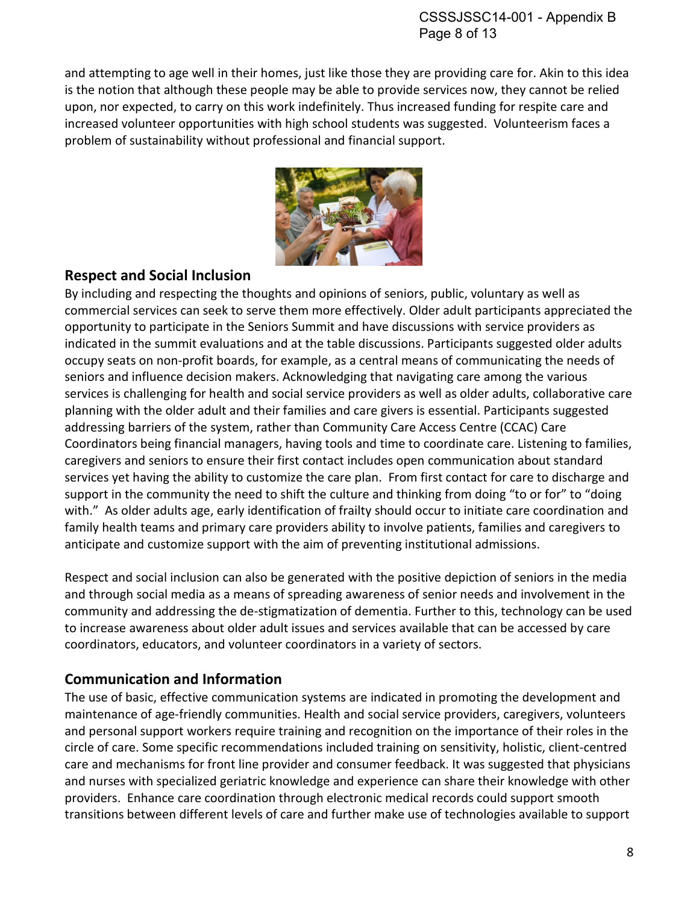and attempting to age well in their homes, just like those they are providing care for. Akin to this idea is the notion that although these people may be able to provide services now, they cannot be relied upon, nor expected, to carry on this work indefinitely. Thus increased funding for respite care and increased volunteer opportunities with high school students was suggested. Volunteerism faces a problem of sustainability without professional and financial support.



### **Respect and Social Inclusion**

By including and respecting the thoughts and opinions of seniors, public, voluntary as well as commercial services can seek to serve them more effectively. Older adult participants appreciated the opportunity to participate in the Seniors Summit and have discussions with service providers as indicated in the summit evaluations and at the table discussions. Participants suggested older adults occupy seats on non-profit boards, for example, as a central means of communicating the needs of seniors and influence decision makers. Acknowledging that navigating care among the various services is challenging for health and social service providers as well as older adults, collaborative care planning with the older adult and their families and care givers is essential. Participants suggested addressing barriers of the system, rather than Community Care Access Centre (CCAC) Care Coordinators being financial managers, having tools and time to coordinate care. Listening to families, caregivers and seniors to ensure their first contact includes open communication about standard services yet having the ability to customize the care plan. From first contact for care to discharge and support in the community the need to shift the culture and thinking from doing "to or for" to "doing with." As older adults age, early identification of frailty should occur to initiate care coordination and family health teams and primary care providers ability to involve patients, families and caregivers to anticipate and customize support with the aim of preventing institutional admissions.

Respect and social inclusion can also be generated with the positive depiction of seniors in the media and through social media as a means of spreading awareness of senior needs and involvement in the community and addressing the de-stigmatization of dementia. Further to this, technology can be used to increase awareness about older adult issues and services available that can be accessed by care coordinators, educators, and volunteer coordinators in a variety of sectors.

### **Communication and Information**

The use of basic, effective communication systems are indicated in promoting the development and maintenance of age-friendly communities. Health and social service providers, caregivers, volunteers and personal support workers require training and recognition on the importance of their roles in the circle of care. Some specific recommendations included training on sensitivity, holistic, client-centred care and mechanisms for front line provider and consumer feedback. It was suggested that physicians and nurses with specialized geriatric knowledge and experience can share their knowledge with other providers. Enhance care coordination through electronic medical records could support smooth transitions between different levels of care and further make use of technologies available to support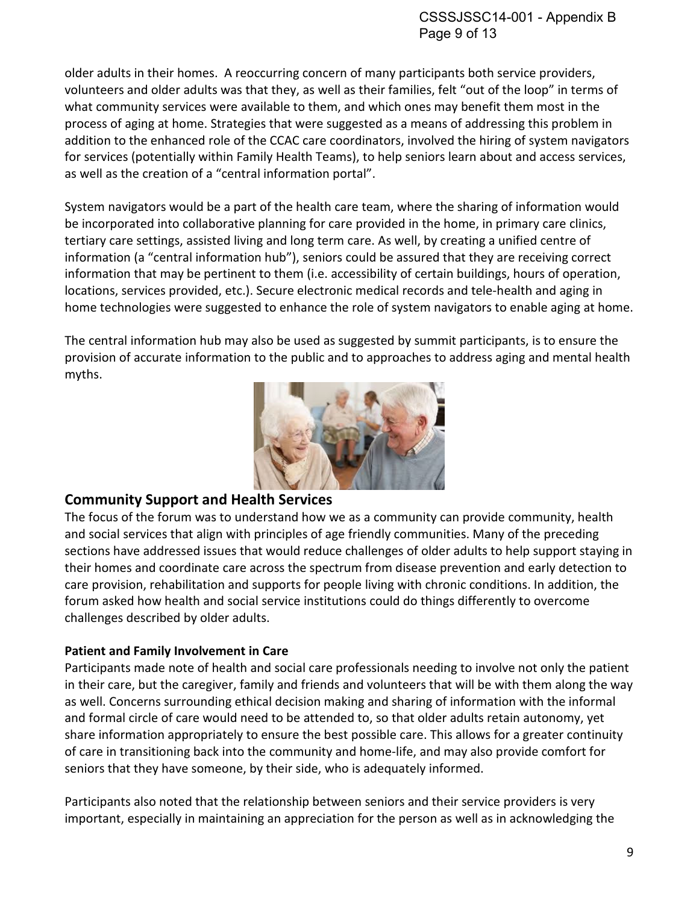older adults in their homes. A reoccurring concern of many participants both service providers, volunteers and older adults was that they, as well as their families, felt "out of the loop" in terms of what community services were available to them, and which ones may benefit them most in the process of aging at home. Strategies that were suggested as a means of addressing this problem in addition to the enhanced role of the CCAC care coordinators, involved the hiring of system navigators for services (potentially within Family Health Teams), to help seniors learn about and access services, as well as the creation of a "central information portal".

System navigators would be a part of the health care team, where the sharing of information would be incorporated into collaborative planning for care provided in the home, in primary care clinics, tertiary care settings, assisted living and long term care. As well, by creating a unified centre of information (a "central information hub"), seniors could be assured that they are receiving correct information that may be pertinent to them (i.e. accessibility of certain buildings, hours of operation, locations, services provided, etc.). Secure electronic medical records and tele-health and aging in home technologies were suggested to enhance the role of system navigators to enable aging at home.

The central information hub may also be used as suggested by summit participants, is to ensure the provision of accurate information to the public and to approaches to address aging and mental health myths.



### **Community Support and Health Services**

The focus of the forum was to understand how we as a community can provide community, health and social services that align with principles of age friendly communities. Many of the preceding sections have addressed issues that would reduce challenges of older adults to help support staying in their homes and coordinate care across the spectrum from disease prevention and early detection to care provision, rehabilitation and supports for people living with chronic conditions. In addition, the forum asked how health and social service institutions could do things differently to overcome challenges described by older adults.

### **Patient and Family Involvement in Care**

Participants made note of health and social care professionals needing to involve not only the patient in their care, but the caregiver, family and friends and volunteers that will be with them along the way as well. Concerns surrounding ethical decision making and sharing of information with the informal and formal circle of care would need to be attended to, so that older adults retain autonomy, yet share information appropriately to ensure the best possible care. This allows for a greater continuity of care in transitioning back into the community and home-life, and may also provide comfort for seniors that they have someone, by their side, who is adequately informed.

Participants also noted that the relationship between seniors and their service providers is very important, especially in maintaining an appreciation for the person as well as in acknowledging the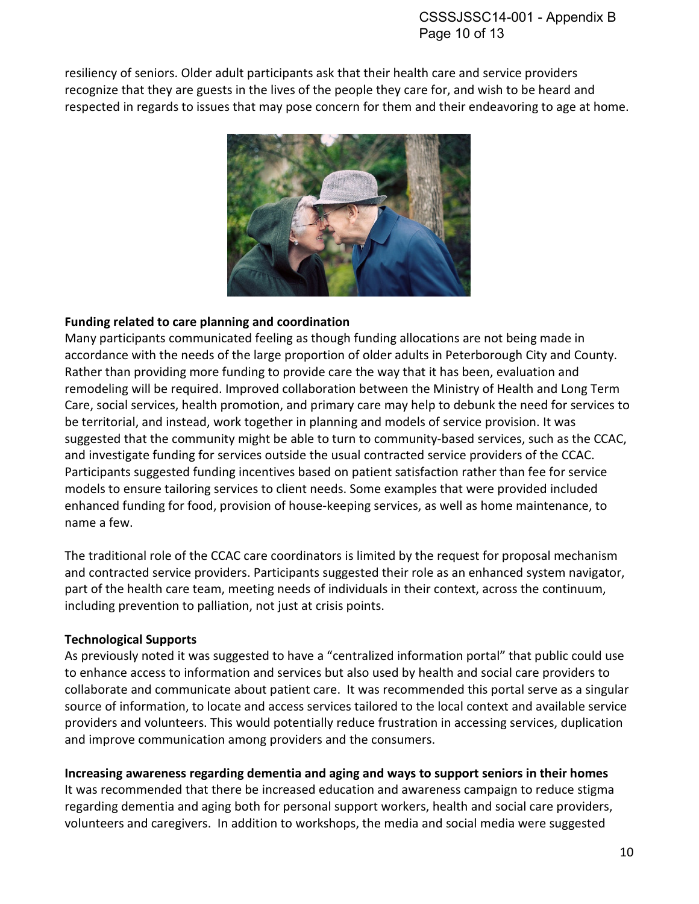resiliency of seniors. Older adult participants ask that their health care and service providers recognize that they are guests in the lives of the people they care for, and wish to be heard and respected in regards to issues that may pose concern for them and their endeavoring to age at home.



#### **Funding related to care planning and coordination**

Many participants communicated feeling as though funding allocations are not being made in accordance with the needs of the large proportion of older adults in Peterborough City and County. Rather than providing more funding to provide care the way that it has been, evaluation and remodeling will be required. Improved collaboration between the Ministry of Health and Long Term Care, social services, health promotion, and primary care may help to debunk the need for services to be territorial, and instead, work together in planning and models of service provision. It was suggested that the community might be able to turn to community-based services, such as the CCAC, and investigate funding for services outside the usual contracted service providers of the CCAC. Participants suggested funding incentives based on patient satisfaction rather than fee for service models to ensure tailoring services to client needs. Some examples that were provided included enhanced funding for food, provision of house-keeping services, as well as home maintenance, to name a few.

The traditional role of the CCAC care coordinators is limited by the request for proposal mechanism and contracted service providers. Participants suggested their role as an enhanced system navigator, part of the health care team, meeting needs of individuals in their context, across the continuum, including prevention to palliation, not just at crisis points.

#### **Technological Supports**

As previously noted it was suggested to have a "centralized information portal" that public could use to enhance access to information and services but also used by health and social care providers to collaborate and communicate about patient care. It was recommended this portal serve as a singular source of information, to locate and access services tailored to the local context and available service providers and volunteers. This would potentially reduce frustration in accessing services, duplication and improve communication among providers and the consumers.

**Increasing awareness regarding dementia and aging and ways to support seniors in their homes** 

It was recommended that there be increased education and awareness campaign to reduce stigma regarding dementia and aging both for personal support workers, health and social care providers, volunteers and caregivers. In addition to workshops, the media and social media were suggested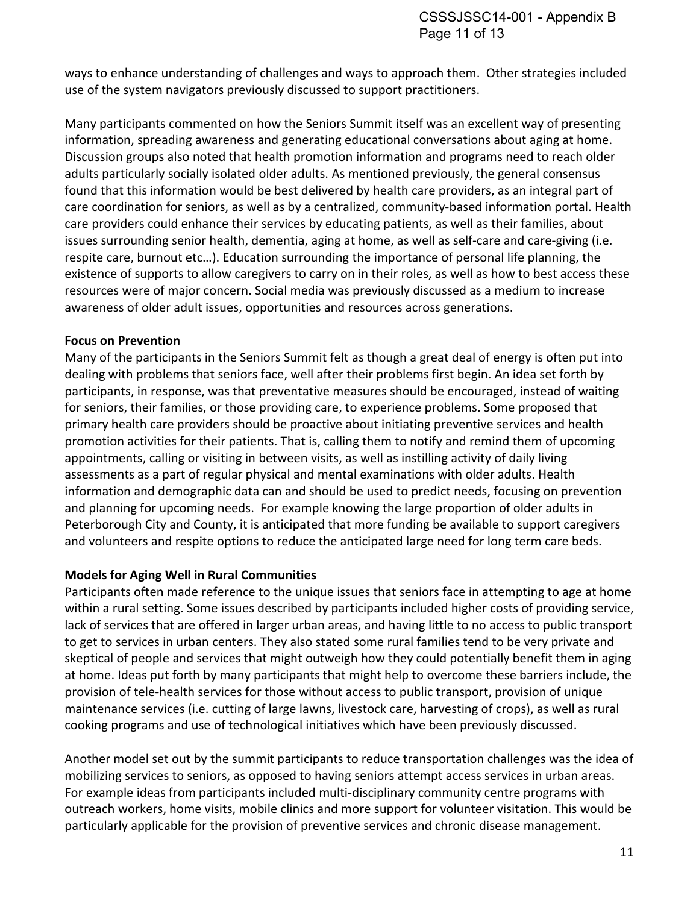ways to enhance understanding of challenges and ways to approach them. Other strategies included use of the system navigators previously discussed to support practitioners.

Many participants commented on how the Seniors Summit itself was an excellent way of presenting information, spreading awareness and generating educational conversations about aging at home. Discussion groups also noted that health promotion information and programs need to reach older adults particularly socially isolated older adults. As mentioned previously, the general consensus found that this information would be best delivered by health care providers, as an integral part of care coordination for seniors, as well as by a centralized, community-based information portal. Health care providers could enhance their services by educating patients, as well as their families, about issues surrounding senior health, dementia, aging at home, as well as self-care and care-giving (i.e. respite care, burnout etc…). Education surrounding the importance of personal life planning, the existence of supports to allow caregivers to carry on in their roles, as well as how to best access these resources were of major concern. Social media was previously discussed as a medium to increase awareness of older adult issues, opportunities and resources across generations.

#### **Focus on Prevention**

Many of the participants in the Seniors Summit felt as though a great deal of energy is often put into dealing with problems that seniors face, well after their problems first begin. An idea set forth by participants, in response, was that preventative measures should be encouraged, instead of waiting for seniors, their families, or those providing care, to experience problems. Some proposed that primary health care providers should be proactive about initiating preventive services and health promotion activities for their patients. That is, calling them to notify and remind them of upcoming appointments, calling or visiting in between visits, as well as instilling activity of daily living assessments as a part of regular physical and mental examinations with older adults. Health information and demographic data can and should be used to predict needs, focusing on prevention and planning for upcoming needs. For example knowing the large proportion of older adults in Peterborough City and County, it is anticipated that more funding be available to support caregivers and volunteers and respite options to reduce the anticipated large need for long term care beds.

#### **Models for Aging Well in Rural Communities**

Participants often made reference to the unique issues that seniors face in attempting to age at home within a rural setting. Some issues described by participants included higher costs of providing service, lack of services that are offered in larger urban areas, and having little to no access to public transport to get to services in urban centers. They also stated some rural families tend to be very private and skeptical of people and services that might outweigh how they could potentially benefit them in aging at home. Ideas put forth by many participants that might help to overcome these barriers include, the provision of tele-health services for those without access to public transport, provision of unique maintenance services (i.e. cutting of large lawns, livestock care, harvesting of crops), as well as rural cooking programs and use of technological initiatives which have been previously discussed.

Another model set out by the summit participants to reduce transportation challenges was the idea of mobilizing services to seniors, as opposed to having seniors attempt access services in urban areas. For example ideas from participants included multi-disciplinary community centre programs with outreach workers, home visits, mobile clinics and more support for volunteer visitation. This would be particularly applicable for the provision of preventive services and chronic disease management.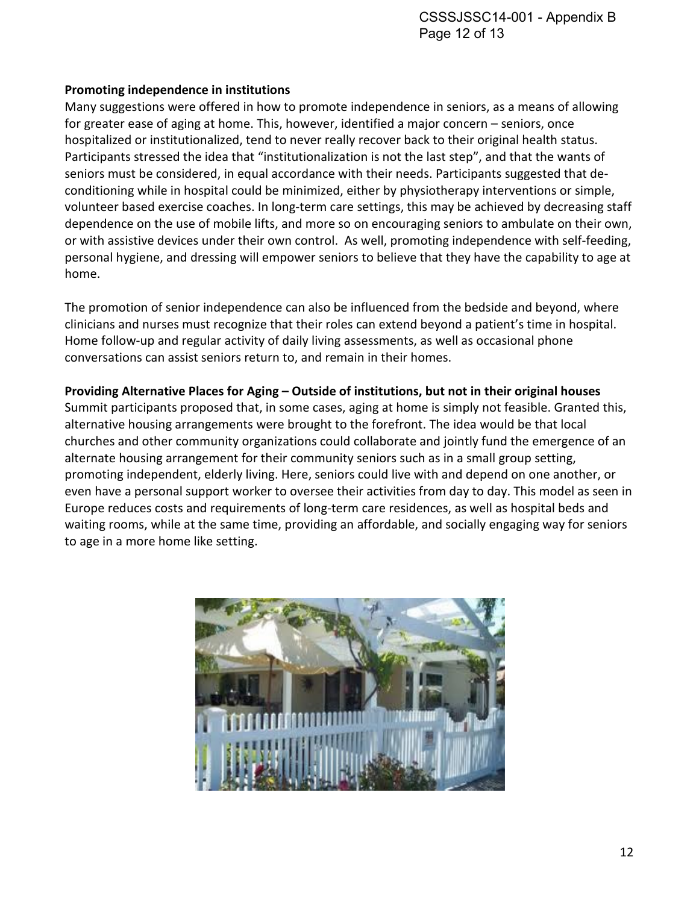#### **Promoting independence in institutions**

Many suggestions were offered in how to promote independence in seniors, as a means of allowing for greater ease of aging at home. This, however, identified a major concern – seniors, once hospitalized or institutionalized, tend to never really recover back to their original health status. Participants stressed the idea that "institutionalization is not the last step", and that the wants of seniors must be considered, in equal accordance with their needs. Participants suggested that deconditioning while in hospital could be minimized, either by physiotherapy interventions or simple, volunteer based exercise coaches. In long-term care settings, this may be achieved by decreasing staff dependence on the use of mobile lifts, and more so on encouraging seniors to ambulate on their own, or with assistive devices under their own control. As well, promoting independence with self-feeding, personal hygiene, and dressing will empower seniors to believe that they have the capability to age at home.

The promotion of senior independence can also be influenced from the bedside and beyond, where clinicians and nurses must recognize that their roles can extend beyond a patient's time in hospital. Home follow-up and regular activity of daily living assessments, as well as occasional phone conversations can assist seniors return to, and remain in their homes.

#### **Providing Alternative Places for Aging – Outside of institutions, but not in their original houses**

Summit participants proposed that, in some cases, aging at home is simply not feasible. Granted this, alternative housing arrangements were brought to the forefront. The idea would be that local churches and other community organizations could collaborate and jointly fund the emergence of an alternate housing arrangement for their community seniors such as in a small group setting, promoting independent, elderly living. Here, seniors could live with and depend on one another, or even have a personal support worker to oversee their activities from day to day. This model as seen in Europe reduces costs and requirements of long-term care residences, as well as hospital beds and waiting rooms, while at the same time, providing an affordable, and socially engaging way for seniors to age in a more home like setting.